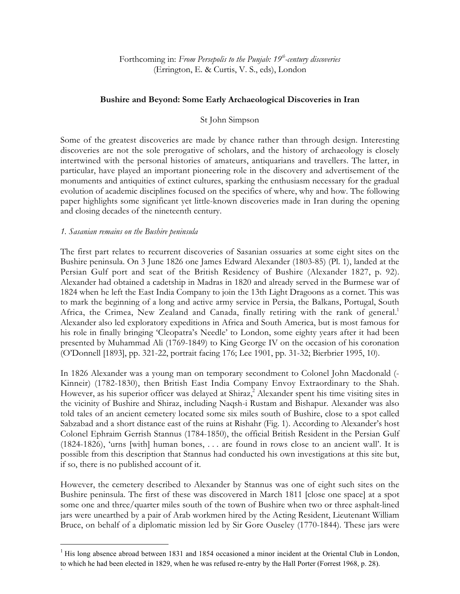Forthcoming in: *From Persepolis to the Punjab: 19th-century discoveries* (Errington, E. & Curtis, V. S., eds), London

# **Bushire and Beyond: Some Early Archaeological Discoveries in Iran**

## St John Simpson

Some of the greatest discoveries are made by chance rather than through design. Interesting discoveries are not the sole prerogative of scholars, and the history of archaeology is closely intertwined with the personal histories of amateurs, antiquarians and travellers. The latter, in particular, have played an important pioneering role in the discovery and advertisement of the monuments and antiquities of extinct cultures, sparking the enthusiasm necessary for the gradual evolution of academic disciplines focused on the specifics of where, why and how. The following paper highlights some significant yet little-known discoveries made in Iran during the opening and closing decades of the nineteenth century.

#### *1. Sasanian remains on the Bushire peninsula*

 $\ddot{\phantom{1}}$ 

The first part relates to recurrent discoveries of Sasanian ossuaries at some eight sites on the Bushire peninsula. On 3 June 1826 one James Edward Alexander (1803-85) (Pl. 1), landed at the Persian Gulf port and seat of the British Residency of Bushire (Alexander 1827, p. 92). Alexander had obtained a cadetship in Madras in 1820 and already served in the Burmese war of 1824 when he left the East India Company to join the 13th Light Dragoons as a cornet. This was to mark the beginning of a long and active army service in Persia, the Balkans, Portugal, South Africa, the Crimea, New Zealand and Canada, finally retiring with the rank of general.<sup>1</sup> Alexander also led exploratory expeditions in Africa and South America, but is most famous for his role in finally bringing 'Cleopatra's Needle' to London, some eighty years after it had been presented by Muhammad Ali (1769-1849) to King George IV on the occasion of his coronation (O'Donnell [1893], pp. 321-22, portrait facing 176; Lee 1901, pp. 31-32; Bierbrier 1995, 10).

In 1826 Alexander was a young man on temporary secondment to Colonel John Macdonald (- Kinneir) (1782-1830), then British East India Company Envoy Extraordinary to the Shah. However, as his superior officer was delayed at Shiraz,<sup>2</sup> Alexander spent his time visiting sites in the vicinity of Bushire and Shiraz, including Naqsh-i Rustam and Bishapur. Alexander was also told tales of an ancient cemetery located some six miles south of Bushire, close to a spot called Sabzabad and a short distance east of the ruins at Rishahr (Fig. 1). According to Alexander's host Colonel Ephraim Gerrish Stannus (1784-1850), the official British Resident in the Persian Gulf (1824-1826), 'urns [with] human bones, . . . are found in rows close to an ancient wall'. It is possible from this description that Stannus had conducted his own investigations at this site but, if so, there is no published account of it.

However, the cemetery described to Alexander by Stannus was one of eight such sites on the Bushire peninsula. The first of these was discovered in March 1811 [close one space] at a spot some one and three/quarter miles south of the town of Bushire when two or three asphalt-lined jars were unearthed by a pair of Arab workmen hired by the Acting Resident, Lieutenant William Bruce, on behalf of a diplomatic mission led by Sir Gore Ouseley (1770-1844). These jars were

<sup>&</sup>lt;sup>1</sup> His long absence abroad between 1831 and 1854 occasioned a minor incident at the Oriental Club in London, to which he had been elected in 1829, when he was refused re-entry by the Hall Porter (Forrest 1968, p. 28).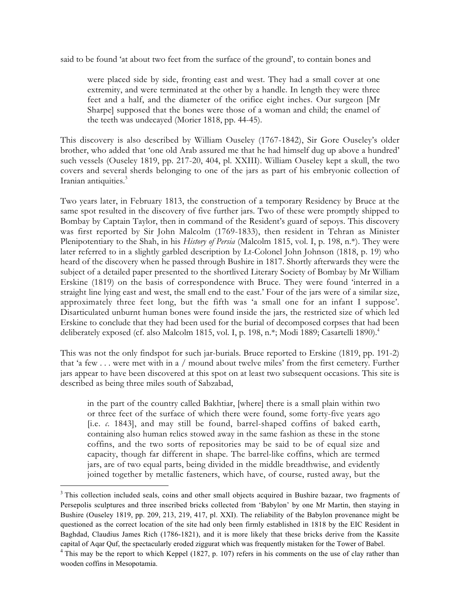said to be found 'at about two feet from the surface of the ground', to contain bones and

were placed side by side, fronting east and west. They had a small cover at one extremity, and were terminated at the other by a handle. In length they were three feet and a half, and the diameter of the orifice eight inches. Our surgeon [Mr Sharpe] supposed that the bones were those of a woman and child; the enamel of the teeth was undecayed (Morier 1818, pp. 44-45).

This discovery is also described by William Ouseley (1767-1842), Sir Gore Ouseley's older brother, who added that 'one old Arab assured me that he had himself dug up above a hundred' such vessels (Ouseley 1819, pp. 217-20, 404, pl. XXIII). William Ouseley kept a skull, the two covers and several sherds belonging to one of the jars as part of his embryonic collection of Iranian antiquities.<sup>3</sup>

Two years later, in February 1813, the construction of a temporary Residency by Bruce at the same spot resulted in the discovery of five further jars. Two of these were promptly shipped to Bombay by Captain Taylor, then in command of the Resident's guard of sepoys. This discovery was first reported by Sir John Malcolm (1769-1833), then resident in Tehran as Minister Plenipotentiary to the Shah, in his *History of Persia* (Malcolm 1815, vol. I, p. 198, n.\*). They were later referred to in a slightly garbled description by Lt-Colonel John Johnson (1818, p. 19) who heard of the discovery when he passed through Bushire in 1817. Shortly afterwards they were the subject of a detailed paper presented to the shortlived Literary Society of Bombay by Mr William Erskine (1819) on the basis of correspondence with Bruce. They were found 'interred in a straight line lying east and west, the small end to the east.' Four of the jars were of a similar size, approximately three feet long, but the fifth was 'a small one for an infant I suppose'. Disarticulated unburnt human bones were found inside the jars, the restricted size of which led Erskine to conclude that they had been used for the burial of decomposed corpses that had been deliberately exposed (cf. also Malcolm 1815, vol. I, p. 198, n.<sup>\*</sup>; Modi 1889; Casartelli 1890).<sup>4</sup>

This was not the only findspot for such jar-burials. Bruce reported to Erskine (1819, pp. 191-2) that 'a few . . . were met with in a / mound about twelve miles' from the first cemetery. Further jars appear to have been discovered at this spot on at least two subsequent occasions. This site is described as being three miles south of Sabzabad,

in the part of the country called Bakhtiar, [where] there is a small plain within two or three feet of the surface of which there were found, some forty-five years ago [i.e. *c*. 1843], and may still be found, barrel-shaped coffins of baked earth, containing also human relics stowed away in the same fashion as these in the stone coffins, and the two sorts of repositories may be said to be of equal size and capacity, though far different in shape. The barrel-like coffins, which are termed jars, are of two equal parts, being divided in the middle breadthwise, and evidently joined together by metallic fasteners, which have, of course, rusted away, but the

<sup>&</sup>lt;sup>3</sup> This collection included seals, coins and other small objects acquired in Bushire bazaar, two fragments of Persepolis sculptures and three inscribed bricks collected from 'Babylon' by one Mr Martin, then staying in Bushire (Ouseley 1819, pp. 209, 213, 219, 417, pl. XXI). The reliability of the Babylon provenance might be questioned as the correct location of the site had only been firmly established in 1818 by the EIC Resident in Baghdad, Claudius James Rich (1786-1821), and it is more likely that these bricks derive from the Kassite capital of Aqar Quf, the spectacularly eroded ziggurat which was frequently mistaken for the Tower of Babel.

<sup>&</sup>lt;sup>4</sup> This may be the report to which Keppel (1827, p. 107) refers in his comments on the use of clay rather than wooden coffins in Mesopotamia.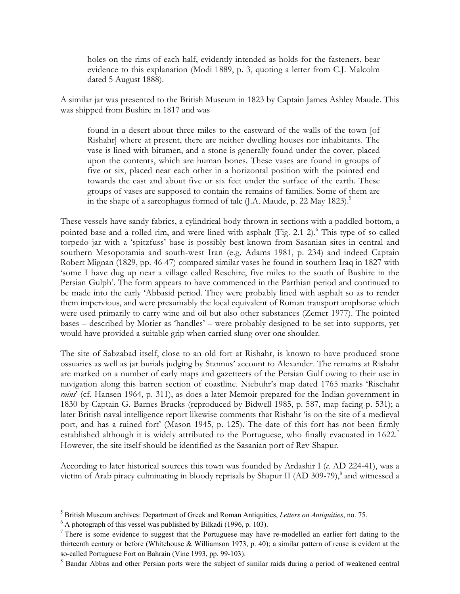holes on the rims of each half, evidently intended as holds for the fasteners, bear evidence to this explanation (Modi 1889, p. 3, quoting a letter from C.J. Malcolm dated 5 August 1888).

A similar jar was presented to the British Museum in 1823 by Captain James Ashley Maude. This was shipped from Bushire in 1817 and was

found in a desert about three miles to the eastward of the walls of the town [of Rishahr] where at present, there are neither dwelling houses nor inhabitants. The vase is lined with bitumen, and a stone is generally found under the cover, placed upon the contents, which are human bones. These vases are found in groups of five or six, placed near each other in a horizontal position with the pointed end towards the east and about five or six feet under the surface of the earth. These groups of vases are supposed to contain the remains of families. Some of them are in the shape of a sarcophagus formed of talc (J.A. Maude, p. 22 May 1823).<sup>5</sup>

These vessels have sandy fabrics, a cylindrical body thrown in sections with a paddled bottom, a pointed base and a rolled rim, and were lined with asphalt (Fig. 2.1-2).<sup>6</sup> This type of so-called torpedo jar with a 'spitzfuss' base is possibly best-known from Sasanian sites in central and southern Mesopotamia and south-west Iran (e.g. Adams 1981, p. 234) and indeed Captain Robert Mignan (1829, pp. 46-47) compared similar vases he found in southern Iraq in 1827 with 'some I have dug up near a village called Reschire, five miles to the south of Bushire in the Persian Gulph'. The form appears to have commenced in the Parthian period and continued to be made into the early 'Abbasid period. They were probably lined with asphalt so as to render them impervious, and were presumably the local equivalent of Roman transport amphorae which were used primarily to carry wine and oil but also other substances (Zemer 1977). The pointed bases – described by Morier as 'handles' – were probably designed to be set into supports, yet would have provided a suitable grip when carried slung over one shoulder.

The site of Sabzabad itself, close to an old fort at Rishahr, is known to have produced stone ossuaries as well as jar burials judging by Stannus' account to Alexander. The remains at Rishahr are marked on a number of early maps and gazetteers of the Persian Gulf owing to their use in navigation along this barren section of coastline. Niebuhr's map dated 1765 marks 'Rischahr *ruins*' (cf. Hansen 1964, p. 311), as does a later Memoir prepared for the Indian government in 1830 by Captain G. Barnes Brucks (reproduced by Bidwell 1985, p. 587, map facing p. 531); a later British naval intelligence report likewise comments that Rishahr 'is on the site of a medieval port, and has a ruined fort' (Mason 1945, p. 125). The date of this fort has not been firmly established although it is widely attributed to the Portuguese, who finally evacuated in 1622.<sup>7</sup> However, the site itself should be identified as the Sasanian port of Rev-Shapur.

According to later historical sources this town was founded by Ardashir I (*c*. AD 224-41), was a victim of Arab piracy culminating in bloody reprisals by Shapur II (AD 309-79),<sup>8</sup> and witnessed a

 <sup>5</sup> British Museum archives: Department of Greek and Roman Antiquities, *Letters on Antiquities*, no. 75.

 $6$  A photograph of this vessel was published by Bilkadi (1996, p. 103).

 $7$  There is some evidence to suggest that the Portuguese may have re-modelled an earlier fort dating to the thirteenth century or before (Whitehouse & Williamson 1973, p. 40); a similar pattern of reuse is evident at the so-called Portuguese Fort on Bahrain (Vine 1993, pp. 99-103).

<sup>&</sup>lt;sup>8</sup> Bandar Abbas and other Persian ports were the subject of similar raids during a period of weakened central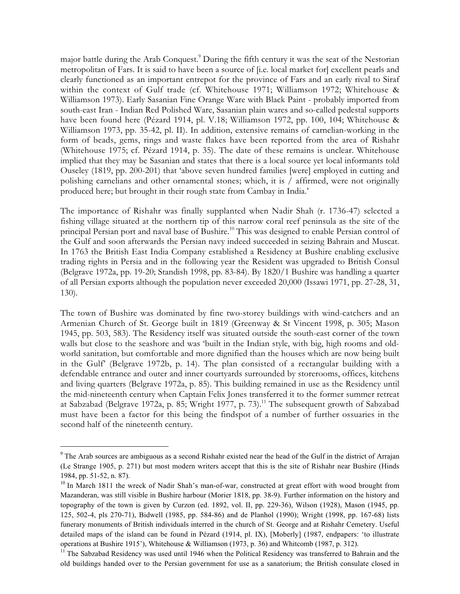major battle during the Arab Conquest.<sup>9</sup> During the fifth century it was the seat of the Nestorian metropolitan of Fars. It is said to have been a source of [i.e. local market for] excellent pearls and clearly functioned as an important entrepot for the province of Fars and an early rival to Siraf within the context of Gulf trade (cf. Whitehouse 1971; Williamson 1972; Whitehouse & Williamson 1973). Early Sasanian Fine Orange Ware with Black Paint - probably imported from south-east Iran - Indian Red Polished Ware, Sasanian plain wares and so-called pedestal supports have been found here (Pézard 1914, pl. V.18; Williamson 1972, pp. 100, 104; Whitehouse & Williamson 1973, pp. 35-42, pl. II). In addition, extensive remains of carnelian-working in the form of beads, gems, rings and waste flakes have been reported from the area of Rishahr (Whitehouse 1975; cf. Pézard 1914, p. 35). The date of these remains is unclear. Whitehouse implied that they may be Sasanian and states that there is a local source yet local informants told Ouseley (1819, pp. 200-201) that 'above seven hundred families [were] employed in cutting and polishing carnelians and other ornamental stones; which, it is / affirmed, were not originally produced here; but brought in their rough state from Cambay in India.'

The importance of Rishahr was finally supplanted when Nadir Shah (r. 1736-47) selected a fishing village situated at the northern tip of this narrow coral reef peninsula as the site of the principal Persian port and naval base of Bushire.<sup>10</sup> This was designed to enable Persian control of the Gulf and soon afterwards the Persian navy indeed succeeded in seizing Bahrain and Muscat. In 1763 the British East India Company established a Residency at Bushire enabling exclusive trading rights in Persia and in the following year the Resident was upgraded to British Consul (Belgrave 1972a, pp. 19-20; Standish 1998, pp. 83-84). By 1820/1 Bushire was handling a quarter of all Persian exports although the population never exceeded 20,000 (Issawi 1971, pp. 27-28, 31, 130).

The town of Bushire was dominated by fine two-storey buildings with wind-catchers and an Armenian Church of St. George built in 1819 (Greenway & St Vincent 1998, p. 305; Mason 1945, pp. 503, 583). The Residency itself was situated outside the south-east corner of the town walls but close to the seashore and was 'built in the Indian style, with big, high rooms and oldworld sanitation, but comfortable and more dignified than the houses which are now being built in the Gulf' (Belgrave 1972b, p. 14). The plan consisted of a rectangular building with a defendable entrance and outer and inner courtyards surrounded by storerooms, offices, kitchens and living quarters (Belgrave 1972a, p. 85). This building remained in use as the Residency until the mid-nineteenth century when Captain Felix Jones transferred it to the former summer retreat at Sabzabad (Belgrave 1972a, p. 85; Wright 1977, p. 73).<sup>11</sup> The subsequent growth of Sabzabad must have been a factor for this being the findspot of a number of further ossuaries in the second half of the nineteenth century.

<sup>&</sup>lt;sup>9</sup> The Arab sources are ambiguous as a second Rishahr existed near the head of the Gulf in the district of Arrajan (Le Strange 1905, p. 271) but most modern writers accept that this is the site of Rishahr near Bushire (Hinds 1984, pp. 51-52, n. 87).

<sup>&</sup>lt;sup>10</sup> In March 1811 the wreck of Nadir Shah's man-of-war, constructed at great effort with wood brought from Mazanderan, was still visible in Bushire harbour (Morier 1818, pp. 38-9). Further information on the history and topography of the town is given by Curzon (ed. 1892, vol. II, pp. 229-36), Wilson (1928), Mason (1945, pp. 125, 502-4, pls 270-71), Bidwell (1985, pp. 584-86) and de Planhol (1990); Wright (1998, pp. 167-68) lists funerary monuments of British individuals interred in the church of St. George and at Rishahr Cemetery. Useful detailed maps of the island can be found in Pézard (1914, pl. IX), [Moberly] (1987, endpapers: 'to illustrate operations at Bushire 1915'), Whitehouse & Williamson (1973, p. 36) and Whitcomb (1987, p. 312).

<sup>&</sup>lt;sup>11</sup> The Sabzabad Residency was used until 1946 when the Political Residency was transferred to Bahrain and the old buildings handed over to the Persian government for use as a sanatorium; the British consulate closed in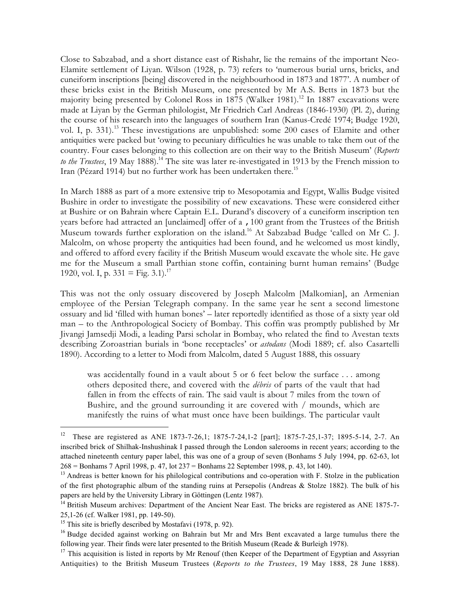Close to Sabzabad, and a short distance east of Rishahr, lie the remains of the important Neo-Elamite settlement of Liyan. Wilson (1928, p. 73) refers to 'numerous burial urns, bricks, and cuneiform inscriptions [being] discovered in the neighbourhood in 1873 and 1877'. A number of these bricks exist in the British Museum, one presented by Mr A.S. Betts in 1873 but the majority being presented by Colonel Ross in  $1875$  (Walker 1981).<sup>12</sup> In 1887 excavations were made at Liyan by the German philologist, Mr Friedrich Carl Andreas (1846-1930) (Pl. 2), during the course of his research into the languages of southern Iran (Kanus-Credé 1974; Budge 1920, vol. I, p. 331).<sup>13</sup> These investigations are unpublished: some 200 cases of Elamite and other antiquities were packed but 'owing to pecuniary difficulties he was unable to take them out of the country. Four cases belonging to this collection are on their way to the British Museum' (*Reports to the Trustees*, 19 May 1888).<sup>14</sup> The site was later re-investigated in 1913 by the French mission to Iran (Pézard 1914) but no further work has been undertaken there.<sup>15</sup>

In March 1888 as part of a more extensive trip to Mesopotamia and Egypt, Wallis Budge visited Bushire in order to investigate the possibility of new excavations. These were considered either at Bushire or on Bahrain where Captain E.L. Durand's discovery of a cuneiform inscription ten years before had attracted an [unclaimed] offer of a ,100 grant from the Trustees of the British Museum towards further exploration on the island.<sup>16</sup> At Sabzabad Budge 'called on Mr C. J. Malcolm, on whose property the antiquities had been found, and he welcomed us most kindly, and offered to afford every facility if the British Museum would excavate the whole site. He gave me for the Museum a small Parthian stone coffin, containing burnt human remains' (Budge 1920, vol. I, p.  $331 = \text{Fig. } 3.1$ .<sup>17</sup>

This was not the only ossuary discovered by Joseph Malcolm [Malkomian], an Armenian employee of the Persian Telegraph company. In the same year he sent a second limestone ossuary and lid 'filled with human bones' – later reportedly identified as those of a sixty year old man – to the Anthropological Society of Bombay. This coffin was promptly published by Mr Jivangi Jamsedji Modi, a leading Parsi scholar in Bombay, who related the find to Avestan texts describing Zoroastrian burials in 'bone receptacles' or *astodans* (Modi 1889; cf. also Casartelli 1890). According to a letter to Modi from Malcolm, dated 5 August 1888, this ossuary

was accidentally found in a vault about 5 or 6 feet below the surface . . . among others deposited there, and covered with the *débris* of parts of the vault that had fallen in from the effects of rain. The said vault is about 7 miles from the town of Bushire, and the ground surrounding it are covered with / mounds, which are manifestly the ruins of what must once have been buildings. The particular vault

<sup>&</sup>lt;sup>12</sup> These are registered as ANE 1873-7-26,1; 1875-7-24,1-2 [part]; 1875-7-25,1-37; 1895-5-14, 2-7. An inscribed brick of Shilhak-Inshushinak I passed through the London salerooms in recent years; according to the attached nineteenth century paper label, this was one of a group of seven (Bonhams 5 July 1994, pp. 62-63, lot 268 = Bonhams 7 April 1998, p. 47, lot 237 = Bonhams 22 September 1998, p. 43, lot 140).

<sup>&</sup>lt;sup>13</sup> Andreas is better known for his philological contributions and co-operation with F. Stolze in the publication of the first photographic album of the standing ruins at Persepolis (Andreas & Stolze 1882). The bulk of his papers are held by the University Library in Göttingen (Lentz 1987).

<sup>&</sup>lt;sup>14</sup> British Museum archives: Department of the Ancient Near East. The bricks are registered as ANE 1875-7-25,1-26 (cf. Walker 1981, pp. 149-50).

<sup>&</sup>lt;sup>15</sup> This site is briefly described by Mostafavi (1978, p. 92).

<sup>&</sup>lt;sup>16</sup> Budge decided against working on Bahrain but Mr and Mrs Bent excavated a large tumulus there the following year. Their finds were later presented to the British Museum (Reade & Burleigh 1978).

<sup>&</sup>lt;sup>17</sup> This acquisition is listed in reports by Mr Renouf (then Keeper of the Department of Egyptian and Assyrian Antiquities) to the British Museum Trustees (*Reports to the Trustees*, 19 May 1888, 28 June 1888).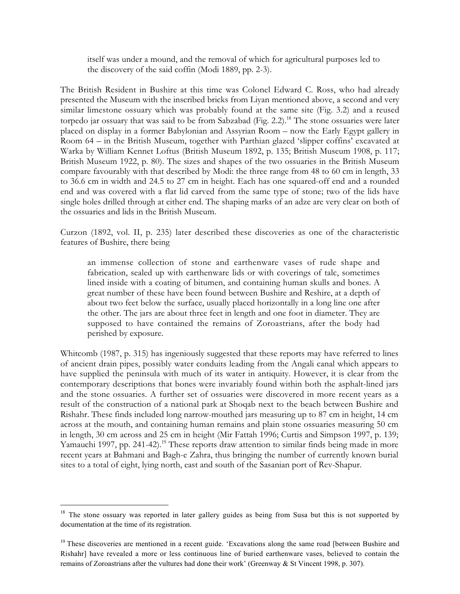itself was under a mound, and the removal of which for agricultural purposes led to the discovery of the said coffin (Modi 1889, pp. 2-3).

The British Resident in Bushire at this time was Colonel Edward C. Ross, who had already presented the Museum with the inscribed bricks from Liyan mentioned above, a second and very similar limestone ossuary which was probably found at the same site (Fig. 3.2) and a reused torpedo jar ossuary that was said to be from Sabzabad (Fig. 2.2).<sup>18</sup> The stone ossuaries were later placed on display in a former Babylonian and Assyrian Room – now the Early Egypt gallery in Room 64 – in the British Museum, together with Parthian glazed 'slipper coffins' excavated at Warka by William Kennet Loftus (British Museum 1892, p. 135; British Museum 1908, p. 117; British Museum 1922, p. 80). The sizes and shapes of the two ossuaries in the British Museum compare favourably with that described by Modi: the three range from 48 to 60 cm in length, 33 to 36.6 cm in width and 24.5 to 27 cm in height. Each has one squared-off end and a rounded end and was covered with a flat lid carved from the same type of stone; two of the lids have single holes drilled through at either end. The shaping marks of an adze are very clear on both of the ossuaries and lids in the British Museum.

Curzon (1892, vol. II, p. 235) later described these discoveries as one of the characteristic features of Bushire, there being

an immense collection of stone and earthenware vases of rude shape and fabrication, sealed up with earthenware lids or with coverings of talc, sometimes lined inside with a coating of bitumen, and containing human skulls and bones. A great number of these have been found between Bushire and Reshire, at a depth of about two feet below the surface, usually placed horizontally in a long line one after the other. The jars are about three feet in length and one foot in diameter. They are supposed to have contained the remains of Zoroastrians, after the body had perished by exposure.

Whitcomb (1987, p. 315) has ingeniously suggested that these reports may have referred to lines of ancient drain pipes, possibly water conduits leading from the Angali canal which appears to have supplied the peninsula with much of its water in antiquity. However, it is clear from the contemporary descriptions that bones were invariably found within both the asphalt-lined jars and the stone ossuaries. A further set of ossuaries were discovered in more recent years as a result of the construction of a national park at Shoqab next to the beach between Bushire and Rishahr. These finds included long narrow-mouthed jars measuring up to 87 cm in height, 14 cm across at the mouth, and containing human remains and plain stone ossuaries measuring 50 cm in length, 30 cm across and 25 cm in height (Mir Fattah 1996; Curtis and Simpson 1997, p. 139; Yamauchi 1997, pp. 241-42).<sup>19</sup> These reports draw attention to similar finds being made in more recent years at Bahmani and Bagh-e Zahra, thus bringing the number of currently known burial sites to a total of eight, lying north, east and south of the Sasanian port of Rev-Shapur.

<sup>&</sup>lt;sup>18</sup> The stone ossuary was reported in later gallery guides as being from Susa but this is not supported by documentation at the time of its registration.

<sup>&</sup>lt;sup>19</sup> These discoveries are mentioned in a recent guide. 'Excavations along the same road [between Bushire and Rishahr] have revealed a more or less continuous line of buried earthenware vases, believed to contain the remains of Zoroastrians after the vultures had done their work' (Greenway & St Vincent 1998, p. 307).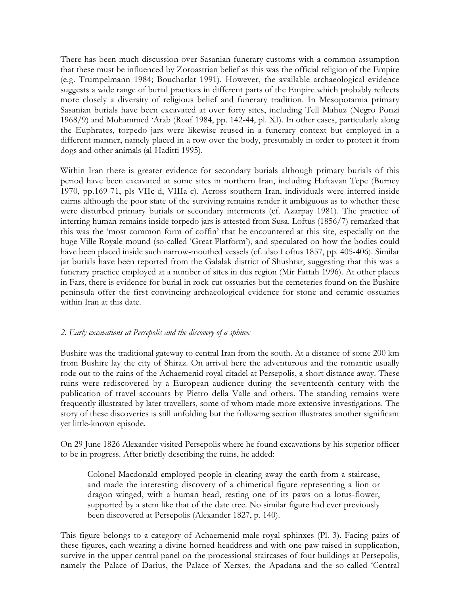There has been much discussion over Sasanian funerary customs with a common assumption that these must be influenced by Zoroastrian belief as this was the official religion of the Empire (e.g. Trumpelmann 1984; Boucharlat 1991). However, the available archaeological evidence suggests a wide range of burial practices in different parts of the Empire which probably reflects more closely a diversity of religious belief and funerary tradition. In Mesopotamia primary Sasanian burials have been excavated at over forty sites, including Tell Mahuz (Negro Ponzi 1968/9) and Mohammed 'Arab (Roaf 1984, pp. 142-44, pl. XI). In other cases, particularly along the Euphrates, torpedo jars were likewise reused in a funerary context but employed in a different manner, namely placed in a row over the body, presumably in order to protect it from dogs and other animals (al-Haditti 1995).

Within Iran there is greater evidence for secondary burials although primary burials of this period have been excavated at some sites in northern Iran, including Haftavan Tepe (Burney 1970, pp.169-71, pls VIIc-d, VIIIa-c). Across southern Iran, individuals were interred inside cairns although the poor state of the surviving remains render it ambiguous as to whether these were disturbed primary burials or secondary interments (cf. Azarpay 1981). The practice of interring human remains inside torpedo jars is attested from Susa. Loftus (1856/7) remarked that this was the 'most common form of coffin' that he encountered at this site, especially on the huge Ville Royale mound (so-called 'Great Platform'), and speculated on how the bodies could have been placed inside such narrow-mouthed vessels (cf. also Loftus 1857, pp. 405-406). Similar jar burials have been reported from the Galalak district of Shushtar, suggesting that this was a funerary practice employed at a number of sites in this region (Mir Fattah 1996). At other places in Fars, there is evidence for burial in rock-cut ossuaries but the cemeteries found on the Bushire peninsula offer the first convincing archaeological evidence for stone and ceramic ossuaries within Iran at this date.

# *2. Early excavations at Persepolis and the discovery of a sphinx*

Bushire was the traditional gateway to central Iran from the south. At a distance of some 200 km from Bushire lay the city of Shiraz. On arrival here the adventurous and the romantic usually rode out to the ruins of the Achaemenid royal citadel at Persepolis, a short distance away. These ruins were rediscovered by a European audience during the seventeenth century with the publication of travel accounts by Pietro della Valle and others. The standing remains were frequently illustrated by later travellers, some of whom made more extensive investigations. The story of these discoveries is still unfolding but the following section illustrates another significant yet little-known episode.

On 29 June 1826 Alexander visited Persepolis where he found excavations by his superior officer to be in progress. After briefly describing the ruins, he added:

Colonel Macdonald employed people in clearing away the earth from a staircase, and made the interesting discovery of a chimerical figure representing a lion or dragon winged, with a human head, resting one of its paws on a lotus-flower, supported by a stem like that of the date tree. No similar figure had ever previously been discovered at Persepolis (Alexander 1827, p. 140).

This figure belongs to a category of Achaemenid male royal sphinxes (Pl. 3). Facing pairs of these figures, each wearing a divine horned headdress and with one paw raised in supplication, survive in the upper central panel on the processional staircases of four buildings at Persepolis, namely the Palace of Darius, the Palace of Xerxes, the Apadana and the so-called 'Central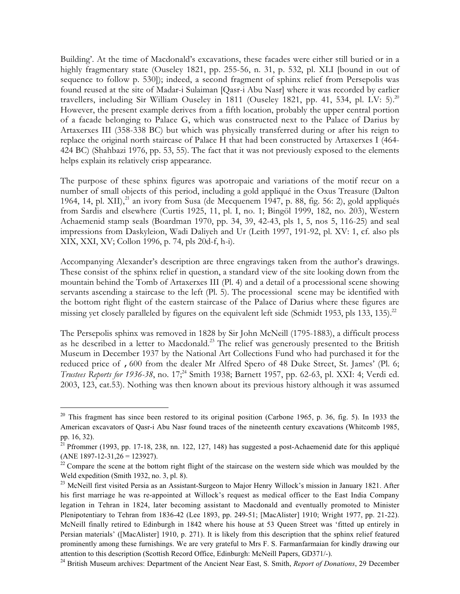Building'. At the time of Macdonald's excavations, these facades were either still buried or in a highly fragmentary state (Ouseley 1821, pp. 255-56, n. 31, p. 532, pl. XLI [bound in out of sequence to follow p. 530]); indeed, a second fragment of sphinx relief from Persepolis was found reused at the site of Madar-i Sulaiman [Qasr-i Abu Nasr] where it was recorded by earlier travellers, including Sir William Ouseley in 1811 (Ouseley 1821, pp. 41, 534, pl. LV: 5).<sup>20</sup> However, the present example derives from a fifth location, probably the upper central portion of a facade belonging to Palace G, which was constructed next to the Palace of Darius by Artaxerxes III (358-338 BC) but which was physically transferred during or after his reign to replace the original north staircase of Palace H that had been constructed by Artaxerxes I (464- 424 BC) (Shahbazi 1976, pp. 53, 55). The fact that it was not previously exposed to the elements helps explain its relatively crisp appearance.

The purpose of these sphinx figures was apotropaic and variations of the motif recur on a number of small objects of this period, including a gold appliqué in the Oxus Treasure (Dalton 1964, 14, pl. XII),<sup>21</sup> an ivory from Susa (de Mecquenem 1947, p. 88, fig. 56: 2), gold appliqués from Sardis and elsewhere (Curtis 1925, 11, pl. I, no. 1; Bingöl 1999, 182, no. 203), Western Achaemenid stamp seals (Boardman 1970, pp. 34, 39, 42-43, pls 1, 5, nos 5, 116-25) and seal impressions from Daskyleion, Wadi Daliyeh and Ur (Leith 1997, 191-92, pl. XV: 1, cf. also pls XIX, XXI, XV; Collon 1996, p. 74, pls 20d-f, h-i).

Accompanying Alexander's description are three engravings taken from the author's drawings. These consist of the sphinx relief in question, a standard view of the site looking down from the mountain behind the Tomb of Artaxerxes III (Pl. 4) and a detail of a processional scene showing servants ascending a staircase to the left (Pl. 5). The processional scene may be identified with the bottom right flight of the eastern staircase of the Palace of Darius where these figures are missing yet closely paralleled by figures on the equivalent left side (Schmidt 1953, pls 133, 135).<sup>22</sup>

The Persepolis sphinx was removed in 1828 by Sir John McNeill (1795-1883), a difficult process as he described in a letter to Macdonald.<sup>23</sup> The relief was generously presented to the British Museum in December 1937 by the National Art Collections Fund who had purchased it for the reduced price of ,600 from the dealer Mr Alfred Spero of 48 Duke Street, St. James' (Pl. 6; *Trustees Reports for 1936-38*, no. 17;<sup>24</sup> Smith 1938; Barnett 1957, pp. 62-63, pl. XXI: 4; Verdi ed. 2003, 123, cat.53). Nothing was then known about its previous history although it was assumed

<sup>&</sup>lt;sup>20</sup> This fragment has since been restored to its original position (Carbone 1965, p. 36, fig. 5). In 1933 the American excavators of Qasr-i Abu Nasr found traces of the nineteenth century excavations (Whitcomb 1985, pp. 16, 32).

<sup>&</sup>lt;sup>21</sup> Pfrommer (1993, pp. 17-18, 238, nn. 122, 127, 148) has suggested a post-Achaemenid date for this appliqué (ANE 1897-12-31,26 = 123927).

<sup>&</sup>lt;sup>22</sup> Compare the scene at the bottom right flight of the staircase on the western side which was moulded by the Weld expedition (Smith 1932, no. 3, pl. 8).

<sup>&</sup>lt;sup>23</sup> McNeill first visited Persia as an Assistant-Surgeon to Major Henry Willock's mission in January 1821. After his first marriage he was re-appointed at Willock's request as medical officer to the East India Company legation in Tehran in 1824, later becoming assistant to Macdonald and eventually promoted to Minister Plenipotentiary to Tehran from 1836-42 (Lee 1893, pp. 249-51; [MacAlister] 1910; Wright 1977, pp. 21-22). McNeill finally retired to Edinburgh in 1842 where his house at 53 Queen Street was 'fitted up entirely in Persian materials' ([MacAlister] 1910, p. 271). It is likely from this description that the sphinx relief featured prominently among these furnishings. We are very grateful to Mrs F. S. Farmanfarmaian for kindly drawing our attention to this description (Scottish Record Office, Edinburgh: McNeill Papers, GD371/-).

<sup>24</sup> British Museum archives: Department of the Ancient Near East, S. Smith, *Report of Donations*, 29 December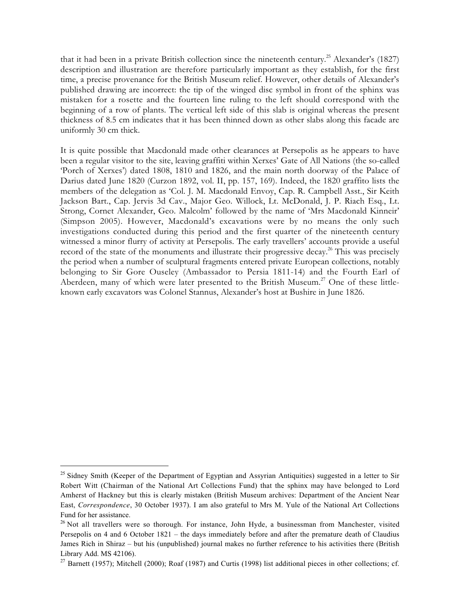that it had been in a private British collection since the nineteenth century.<sup>25</sup> Alexander's (1827) description and illustration are therefore particularly important as they establish, for the first time, a precise provenance for the British Museum relief. However, other details of Alexander's published drawing are incorrect: the tip of the winged disc symbol in front of the sphinx was mistaken for a rosette and the fourteen line ruling to the left should correspond with the beginning of a row of plants. The vertical left side of this slab is original whereas the present thickness of 8.5 cm indicates that it has been thinned down as other slabs along this facade are uniformly 30 cm thick.

It is quite possible that Macdonald made other clearances at Persepolis as he appears to have been a regular visitor to the site, leaving graffiti within Xerxes' Gate of All Nations (the so-called 'Porch of Xerxes') dated 1808, 1810 and 1826, and the main north doorway of the Palace of Darius dated June 1820 (Curzon 1892, vol. II, pp. 157, 169). Indeed, the 1820 graffito lists the members of the delegation as 'Col. J. M. Macdonald Envoy, Cap. R. Campbell Asst., Sir Keith Jackson Bart., Cap. Jervis 3d Cav., Major Geo. Willock, Lt. McDonald, J. P. Riach Esq., Lt. Strong, Cornet Alexander, Geo. Malcolm' followed by the name of 'Mrs Macdonald Kinneir' (Simpson 2005). However, Macdonald's excavations were by no means the only such investigations conducted during this period and the first quarter of the nineteenth century witnessed a minor flurry of activity at Persepolis. The early travellers' accounts provide a useful record of the state of the monuments and illustrate their progressive decay.<sup>26</sup> This was precisely the period when a number of sculptural fragments entered private European collections, notably belonging to Sir Gore Ouseley (Ambassador to Persia 1811-14) and the Fourth Earl of Aberdeen, many of which were later presented to the British Museum.<sup>27</sup> One of these littleknown early excavators was Colonel Stannus, Alexander's host at Bushire in June 1826.

<sup>&</sup>lt;sup>25</sup> Sidney Smith (Keeper of the Department of Egyptian and Assyrian Antiquities) suggested in a letter to Sir Robert Witt (Chairman of the National Art Collections Fund) that the sphinx may have belonged to Lord Amherst of Hackney but this is clearly mistaken (British Museum archives: Department of the Ancient Near East, *Correspondence*, 30 October 1937). I am also grateful to Mrs M. Yule of the National Art Collections Fund for her assistance.

<sup>&</sup>lt;sup>26</sup> Not all travellers were so thorough. For instance, John Hyde, a businessman from Manchester, visited Persepolis on 4 and 6 October 1821 – the days immediately before and after the premature death of Claudius James Rich in Shiraz – but his (unpublished) journal makes no further reference to his activities there (British Library Add. MS 42106).

<sup>&</sup>lt;sup>27</sup> Barnett (1957); Mitchell (2000); Roaf (1987) and Curtis (1998) list additional pieces in other collections; cf.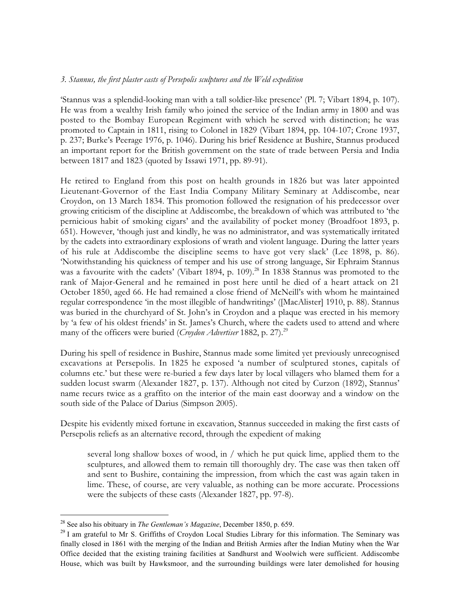### *3. Stannus, the first plaster casts of Persepolis sculptures and the Weld expedition*

'Stannus was a splendid-looking man with a tall soldier-like presence' (Pl. 7; Vibart 1894, p. 107). He was from a wealthy Irish family who joined the service of the Indian army in 1800 and was posted to the Bombay European Regiment with which he served with distinction; he was promoted to Captain in 1811, rising to Colonel in 1829 (Vibart 1894, pp. 104-107; Crone 1937, p. 237; Burke's Peerage 1976, p. 1046). During his brief Residence at Bushire, Stannus produced an important report for the British government on the state of trade between Persia and India between 1817 and 1823 (quoted by Issawi 1971, pp. 89-91).

He retired to England from this post on health grounds in 1826 but was later appointed Lieutenant-Governor of the East India Company Military Seminary at Addiscombe, near Croydon, on 13 March 1834. This promotion followed the resignation of his predecessor over growing criticism of the discipline at Addiscombe, the breakdown of which was attributed to 'the pernicious habit of smoking cigars' and the availability of pocket money (Broadfoot 1893, p. 651). However, 'though just and kindly, he was no administrator, and was systematically irritated by the cadets into extraordinary explosions of wrath and violent language. During the latter years of his rule at Addiscombe the discipline seems to have got very slack' (Lee 1898, p. 86). 'Notwithstanding his quickness of temper and his use of strong language, Sir Ephraim Stannus was a favourite with the cadets' (Vibart 1894, p. 109).<sup>28</sup> In 1838 Stannus was promoted to the rank of Major-General and he remained in post here until he died of a heart attack on 21 October 1850, aged 66. He had remained a close friend of McNeill's with whom he maintained regular correspondence 'in the most illegible of handwritings' ([MacAlister] 1910, p. 88). Stannus was buried in the churchyard of St. John's in Croydon and a plaque was erected in his memory by 'a few of his oldest friends' in St. James's Church, where the cadets used to attend and where many of the officers were buried (*Croydon Advertiser* 1882, p. 27).<sup>29</sup>

During his spell of residence in Bushire, Stannus made some limited yet previously unrecognised excavations at Persepolis. In 1825 he exposed 'a number of sculptured stones, capitals of columns etc.' but these were re-buried a few days later by local villagers who blamed them for a sudden locust swarm (Alexander 1827, p. 137). Although not cited by Curzon (1892), Stannus' name recurs twice as a graffito on the interior of the main east doorway and a window on the south side of the Palace of Darius (Simpson 2005).

Despite his evidently mixed fortune in excavation, Stannus succeeded in making the first casts of Persepolis reliefs as an alternative record, through the expedient of making

several long shallow boxes of wood, in / which he put quick lime, applied them to the sculptures, and allowed them to remain till thoroughly dry. The case was then taken off and sent to Bushire, containing the impression, from which the cast was again taken in lime. These, of course, are very valuable, as nothing can be more accurate. Processions were the subjects of these casts (Alexander 1827, pp. 97-8).

 <sup>28</sup> See also his obituary in *The Gentleman's Magazine*, December 1850, p. 659.

<sup>&</sup>lt;sup>29</sup> I am grateful to Mr S. Griffiths of Croydon Local Studies Library for this information. The Seminary was finally closed in 1861 with the merging of the Indian and British Armies after the Indian Mutiny when the War Office decided that the existing training facilities at Sandhurst and Woolwich were sufficient. Addiscombe House, which was built by Hawksmoor, and the surrounding buildings were later demolished for housing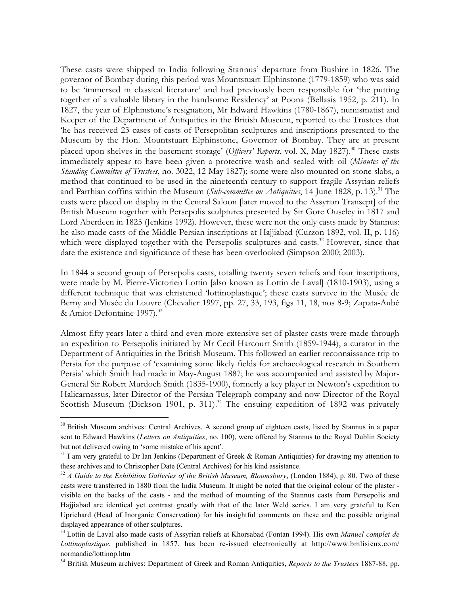These casts were shipped to India following Stannus' departure from Bushire in 1826. The governor of Bombay during this period was Mountstuart Elphinstone (1779-1859) who was said to be 'immersed in classical literature' and had previously been responsible for 'the putting together of a valuable library in the handsome Residency' at Poona (Bellasis 1952, p. 211). In 1827, the year of Elphinstone's resignation, Mr Edward Hawkins (1780-1867), numismatist and Keeper of the Department of Antiquities in the British Museum, reported to the Trustees that 'he has received 23 cases of casts of Persepolitan sculptures and inscriptions presented to the Museum by the Hon. Mountstuart Elphinstone, Governor of Bombay. They are at present placed upon shelves in the basement storage' (Officers' Reports, vol. X, May 1827).<sup>30</sup> These casts immediately appear to have been given a protective wash and sealed with oil (*Minutes of the Standing Committee of Trustees*, no. 3022, 12 May 1827); some were also mounted on stone slabs, a method that continued to be used in the nineteenth century to support fragile Assyrian reliefs and Parthian coffins within the Museum (*Sub-committee on Antiquities*, 14 June 1828, p. 13).<sup>31</sup> The casts were placed on display in the Central Saloon [later moved to the Assyrian Transept] of the British Museum together with Persepolis sculptures presented by Sir Gore Ouseley in 1817 and Lord Aberdeen in 1825 (Jenkins 1992). However, these were not the only casts made by Stannus: he also made casts of the Middle Persian inscriptions at Hajjiabad (Curzon 1892, vol. II, p. 116) which were displayed together with the Persepolis sculptures and casts.<sup>32</sup> However, since that date the existence and significance of these has been overlooked (Simpson 2000; 2003).

In 1844 a second group of Persepolis casts, totalling twenty seven reliefs and four inscriptions, were made by M. Pierre-Victorien Lottin [also known as Lottin de Laval] (1810-1903), using a different technique that was christened 'lottinoplastique'; these casts survive in the Musée de Berny and Musée du Louvre (Chevalier 1997, pp. 27, 33, 193, figs 11, 18, nos 8-9; Zapata-Aubé & Amiot-Defontaine 1997).<sup>33</sup>

Almost fifty years later a third and even more extensive set of plaster casts were made through an expedition to Persepolis initiated by Mr Cecil Harcourt Smith (1859-1944), a curator in the Department of Antiquities in the British Museum. This followed an earlier reconnaissance trip to Persia for the purpose of 'examining some likely fields for archaeological research in Southern Persia' which Smith had made in May-August 1887; he was accompanied and assisted by Major-General Sir Robert Murdoch Smith (1835-1900), formerly a key player in Newton's expedition to Halicarnassus, later Director of the Persian Telegraph company and now Director of the Royal Scottish Museum (Dickson 1901, p. 311).<sup>34</sup> The ensuing expedition of 1892 was privately

<sup>&</sup>lt;sup>30</sup> British Museum archives: Central Archives. A second group of eighteen casts, listed by Stannus in a paper sent to Edward Hawkins (*Letters on Antiquities*, no. 100), were offered by Stannus to the Royal Dublin Society but not delivered owing to 'some mistake of his agent'.

 $31$  I am very grateful to Dr Ian Jenkins (Department of Greek & Roman Antiquities) for drawing my attention to these archives and to Christopher Date (Central Archives) for his kind assistance.

<sup>&</sup>lt;sup>32</sup> *A Guide to the Exhibition Galleries of the British Museum, Bloomsbury*, (London 1884), p. 80. Two of these casts were transferred in 1880 from the India Museum. It might be noted that the original colour of the plaster visible on the backs of the casts - and the method of mounting of the Stannus casts from Persepolis and Hajjiabad are identical yet contrast greatly with that of the later Weld series. I am very grateful to Ken Uprichard (Head of Inorganic Conservation) for his insightful comments on these and the possible original displayed appearance of other sculptures.

<sup>33</sup> Lottin de Laval also made casts of Assyrian reliefs at Khorsabad (Fontan 1994). His own *Manuel complet de Lottinoplastique*[, published in 1857, has been re-issued electronically at http://www.bmlisieux.com/](http://www.bmlisieux.com/normandie/lottinop.htm) normandie/lottinop.htm

<sup>34</sup> British Museum archives: Department of Greek and Roman Antiquities, *Reports to the Trustees* 1887-88, pp.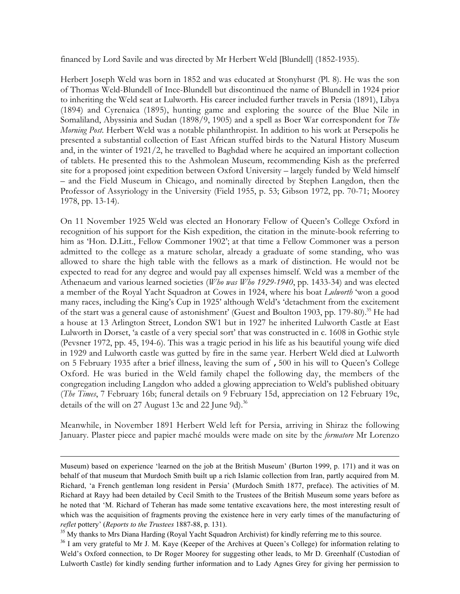financed by Lord Savile and was directed by Mr Herbert Weld [Blundell] (1852-1935).

Herbert Joseph Weld was born in 1852 and was educated at Stonyhurst (Pl. 8). He was the son of Thomas Weld-Blundell of Ince-Blundell but discontinued the name of Blundell in 1924 prior to inheriting the Weld seat at Lulworth. His career included further travels in Persia (1891), Libya (1894) and Cyrenaica (1895), hunting game and exploring the source of the Blue Nile in Somaliland, Abyssinia and Sudan (1898/9, 1905) and a spell as Boer War correspondent for *The Morning Post*. Herbert Weld was a notable philanthropist. In addition to his work at Persepolis he presented a substantial collection of East African stuffed birds to the Natural History Museum and, in the winter of 1921/2, he travelled to Baghdad where he acquired an important collection of tablets. He presented this to the Ashmolean Museum, recommending Kish as the preferred site for a proposed joint expedition between Oxford University – largely funded by Weld himself – and the Field Museum in Chicago, and nominally directed by Stephen Langdon, then the Professor of Assyriology in the University (Field 1955, p. 53; Gibson 1972, pp. 70-71; Moorey 1978, pp. 13-14).

On 11 November 1925 Weld was elected an Honorary Fellow of Queen's College Oxford in recognition of his support for the Kish expedition, the citation in the minute-book referring to him as 'Hon. D.Litt., Fellow Commoner 1902'; at that time a Fellow Commoner was a person admitted to the college as a mature scholar, already a graduate of some standing, who was allowed to share the high table with the fellows as a mark of distinction. He would not be expected to read for any degree and would pay all expenses himself. Weld was a member of the Athenaeum and various learned societies (*Who was Who 1929-1940*, pp. 1433-34) and was elected a member of the Royal Yacht Squadron at Cowes in 1924, where his boat *Lulworth* 'won a good many races, including the King's Cup in 1925' although Weld's 'detachment from the excitement of the start was a general cause of astonishment' (Guest and Boulton 1903, pp. 179-80).<sup>35</sup> He had a house at 13 Arlington Street, London SW1 but in 1927 he inherited Lulworth Castle at East Lulworth in Dorset, 'a castle of a very special sort' that was constructed in c. 1608 in Gothic style (Pevsner 1972, pp. 45, 194-6). This was a tragic period in his life as his beautiful young wife died in 1929 and Lulworth castle was gutted by fire in the same year. Herbert Weld died at Lulworth on 5 February 1935 after a brief illness, leaving the sum of ,500 in his will to Queen's College Oxford. He was buried in the Weld family chapel the following day, the members of the congregation including Langdon who added a glowing appreciation to Weld's published obituary (*The Times*, 7 February 16b; funeral details on 9 February 15d, appreciation on 12 February 19c, details of the will on 27 August 13c and 22 June 9d).<sup>36</sup>

Meanwhile, in November 1891 Herbert Weld left for Persia, arriving in Shiraz the following January. Plaster piece and papier maché moulds were made on site by the *formatore* Mr Lorenzo

 $\overline{a}$ 

Museum) based on experience 'learned on the job at the British Museum' (Burton 1999, p. 171) and it was on behalf of that museum that Murdoch Smith built up a rich Islamic collection from Iran, partly acquired from M. Richard, 'a French gentleman long resident in Persia' (Murdoch Smith 1877, preface). The activities of M. Richard at Rayy had been detailed by Cecil Smith to the Trustees of the British Museum some years before as he noted that 'M. Richard of Teheran has made some tentative excavations here, the most interesting result of which was the acquisition of fragments proving the existence here in very early times of the manufacturing of *reflet* pottery' (*Reports to the Trustees* 1887-88, p. 131).

<sup>&</sup>lt;sup>35</sup> My thanks to Mrs Diana Harding (Royal Yacht Squadron Archivist) for kindly referring me to this source.

<sup>&</sup>lt;sup>36</sup> I am very grateful to Mr J. M. Kaye (Keeper of the Archives at Queen's College) for information relating to Weld's Oxford connection, to Dr Roger Moorey for suggesting other leads, to Mr D. Greenhalf (Custodian of Lulworth Castle) for kindly sending further information and to Lady Agnes Grey for giving her permission to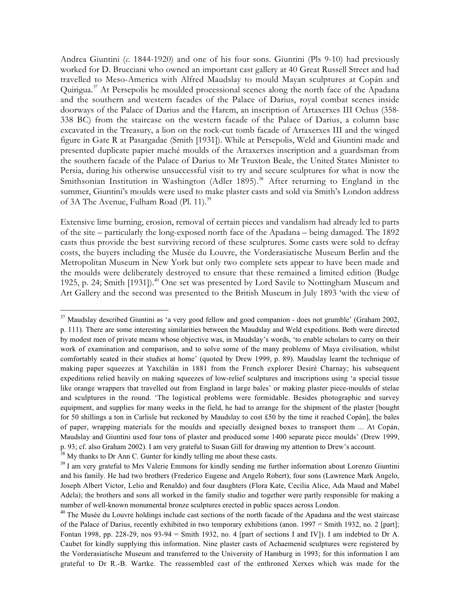Andrea Giuntini (*c*. 1844-1920) and one of his four sons. Giuntini (Pls 9-10) had previously worked for D. Brucciani who owned an important cast gallery at 40 Great Russell Street and had travelled to Meso-America with Alfred Maudslay to mould Mayan sculptures at Copán and Quirigua.<sup>37</sup> At Persepolis he moulded processional scenes along the north face of the Apadana and the southern and western facades of the Palace of Darius, royal combat scenes inside doorways of the Palace of Darius and the Harem, an inscription of Artaxerxes III Ochus (358- 338 BC) from the staircase on the western facade of the Palace of Darius, a column base excavated in the Treasury, a lion on the rock-cut tomb facade of Artaxerxes III and the winged figure in Gate R at Pasargadae (Smith [1931]). While at Persepolis, Weld and Giuntini made and presented duplicate papier maché moulds of the Artaxerxes inscription and a guardsman from the southern facade of the Palace of Darius to Mr Truxton Beale, the United States Minister to Persia, during his otherwise unsuccessful visit to try and secure sculptures for what is now the Smithsonian Institution in Washington (Adler 1895).<sup>38</sup> After returning to England in the summer, Giuntini's moulds were used to make plaster casts and sold via Smith's London address of 3A The Avenue, Fulham Road (Pl. 11).<sup>39</sup>

Extensive lime burning, erosion, removal of certain pieces and vandalism had already led to parts of the site – particularly the long-exposed north face of the Apadana – being damaged. The 1892 casts thus provide the best surviving record of these sculptures. Some casts were sold to defray costs, the buyers including the Musée du Louvre, the Vorderasiatische Museum Berlin and the Metropolitan Museum in New York but only two complete sets appear to have been made and the moulds were deliberately destroyed to ensure that these remained a limited edition (Budge 1925, p. 24; Smith [1931]).<sup>40</sup> One set was presented by Lord Savile to Nottingham Museum and Art Gallery and the second was presented to the British Museum in July 1893 'with the view of

<sup>&</sup>lt;sup>37</sup> Maudslay described Giuntini as 'a very good fellow and good companion - does not grumble' (Graham 2002, p. 111). There are some interesting similarities between the Maudslay and Weld expeditions. Both were directed by modest men of private means whose objective was, in Maudslay's words, 'to enable scholars to carry on their work of examination and comparison, and to solve some of the many problems of Maya civilisation, whilst comfortably seated in their studies at home' (quoted by Drew 1999, p. 89). Maudslay learnt the technique of making paper squeezes at Yaxchilán in 1881 from the French explorer Desiré Charnay; his subsequent expeditions relied heavily on making squeezes of low-relief sculptures and inscriptions using 'a special tissue like orange wrappers that travelled out from England in large bales' or making plaster piece-moulds of stelae and sculptures in the round. 'The logistical problems were formidable. Besides photographic and survey equipment, and supplies for many weeks in the field, he had to arrange for the shipment of the plaster [bought for 50 shillings a ton in Carlisle but reckoned by Maudslay to cost £50 by the time it reached Copán], the bales of paper, wrapping materials for the moulds and specially designed boxes to transport them ... At Copán, Maudslay and Giuntini used four tons of plaster and produced some 1400 separate piece moulds' (Drew 1999, p. 93; cf. also Graham 2002). I am very grateful to Susan Gill for drawing my attention to Drew's account.

 $38$  My thanks to Dr Ann C. Gunter for kindly telling me about these casts.

<sup>&</sup>lt;sup>39</sup> I am very grateful to Mrs Valerie Emmons for kindly sending me further information about Lorenzo Giuntini and his family. He had two brothers (Frederico Eugene and Angelo Robert), four sons (Lawrence Mark Angelo, Joseph Albert Victor, Lelio and Renaldo) and four daughters (Flora Kate, Cecilia Alice, Ada Maud and Mabel Adela); the brothers and sons all worked in the family studio and together were partly responsible for making a number of well-known monumental bronze sculptures erected in public spaces across London.

<sup>&</sup>lt;sup>40</sup> The Musée du Louvre holdings include cast sections of the north facade of the Apadana and the west staircase of the Palace of Darius, recently exhibited in two temporary exhibitions (anon. 1997 = Smith 1932, no. 2 [part]; Fontan 1998, pp. 228-29, nos 93-94 = Smith 1932, no. 4 [part of sections I and IV]). I am indebted to Dr A. Caubet for kindly supplying this information. Nine plaster casts of Achaemenid sculptures were registered by the Vorderasiatische Museum and transferred to the University of Hamburg in 1993; for this information I am grateful to Dr R.-B. Wartke. The reassembled cast of the enthroned Xerxes which was made for the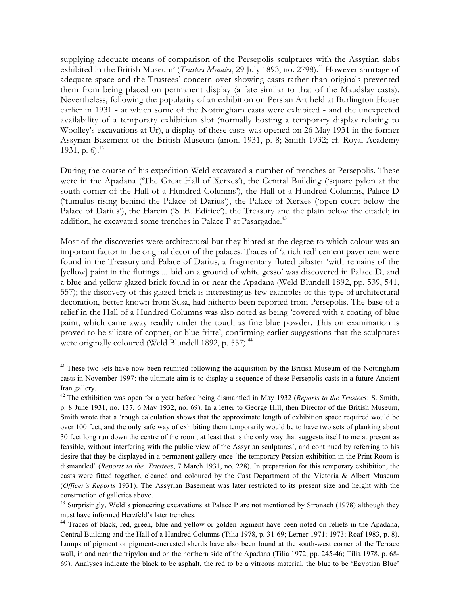supplying adequate means of comparison of the Persepolis sculptures with the Assyrian slabs exhibited in the British Museum' (*Trustees Minutes*, 29 July 1893, no. 2798).<sup>41</sup> However shortage of adequate space and the Trustees' concern over showing casts rather than originals prevented them from being placed on permanent display (a fate similar to that of the Maudslay casts). Nevertheless, following the popularity of an exhibition on Persian Art held at Burlington House earlier in 1931 - at which some of the Nottingham casts were exhibited - and the unexpected availability of a temporary exhibition slot (normally hosting a temporary display relating to Woolley's excavations at Ur), a display of these casts was opened on 26 May 1931 in the former Assyrian Basement of the British Museum (anon. 1931, p. 8; Smith 1932; cf. Royal Academy 1931, p. 6).<sup>42</sup>

During the course of his expedition Weld excavated a number of trenches at Persepolis. These were in the Apadana ('The Great Hall of Xerxes'), the Central Building ('square pylon at the south corner of the Hall of a Hundred Columns'), the Hall of a Hundred Columns, Palace D ('tumulus rising behind the Palace of Darius'), the Palace of Xerxes ('open court below the Palace of Darius'), the Harem ('S. E. Edifice'), the Treasury and the plain below the citadel; in addition, he excavated some trenches in Palace P at Pasargadae. $43$ 

Most of the discoveries were architectural but they hinted at the degree to which colour was an important factor in the original decor of the palaces. Traces of 'a rich red' cement pavement were found in the Treasury and Palace of Darius, a fragmentary fluted pilaster 'with remains of the [yellow] paint in the flutings ... laid on a ground of white gesso' was discovered in Palace D, and a blue and yellow glazed brick found in or near the Apadana (Weld Blundell 1892, pp. 539, 541, 557); the discovery of this glazed brick is interesting as few examples of this type of architectural decoration, better known from Susa, had hitherto been reported from Persepolis. The base of a relief in the Hall of a Hundred Columns was also noted as being 'covered with a coating of blue paint, which came away readily under the touch as fine blue powder. This on examination is proved to be silicate of copper, or blue fritte', confirming earlier suggestions that the sculptures were originally coloured (Weld Blundell 1892, p. 557).<sup>44</sup>

<sup>&</sup>lt;sup>41</sup> These two sets have now been reunited following the acquisition by the British Museum of the Nottingham casts in November 1997: the ultimate aim is to display a sequence of these Persepolis casts in a future Ancient Iran gallery.

<sup>42</sup> The exhibition was open for a year before being dismantled in May 1932 (*Reports to the Trustees*: S. Smith, p. 8 June 1931, no. 137, 6 May 1932, no. 69). In a letter to George Hill, then Director of the British Museum, Smith wrote that a 'rough calculation shows that the approximate length of exhibition space required would be over 100 feet, and the only safe way of exhibiting them temporarily would be to have two sets of planking about 30 feet long run down the centre of the room; at least that is the only way that suggests itself to me at present as feasible, without interfering with the public view of the Assyrian sculptures', and continued by referring to his desire that they be displayed in a permanent gallery once 'the temporary Persian exhibition in the Print Room is dismantled' (*Reports to the Trustees*, 7 March 1931, no. 228). In preparation for this temporary exhibition, the casts were fitted together, cleaned and coloured by the Cast Department of the Victoria & Albert Museum (*Officer's Reports* 1931). The Assyrian Basement was later restricted to its present size and height with the construction of galleries above.

<sup>&</sup>lt;sup>43</sup> Surprisingly, Weld's pioneering excavations at Palace P are not mentioned by Stronach (1978) although they must have informed Herzfeld's later trenches.

<sup>&</sup>lt;sup>44</sup> Traces of black, red, green, blue and yellow or golden pigment have been noted on reliefs in the Apadana, Central Building and the Hall of a Hundred Columns (Tilia 1978, p. 31-69; Lerner 1971; 1973; Roaf 1983, p. 8). Lumps of pigment or pigment-encrusted sherds have also been found at the south-west corner of the Terrace wall, in and near the tripylon and on the northern side of the Apadana (Tilia 1972, pp. 245-46; Tilia 1978, p. 68-69). Analyses indicate the black to be asphalt, the red to be a vitreous material, the blue to be 'Egyptian Blue'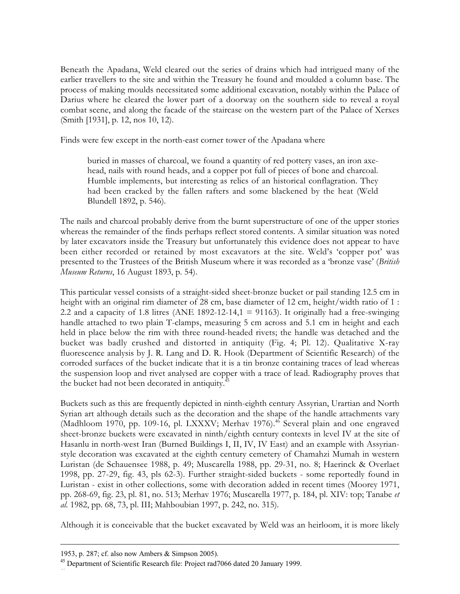Beneath the Apadana, Weld cleared out the series of drains which had intrigued many of the earlier travellers to the site and within the Treasury he found and moulded a column base. The process of making moulds necessitated some additional excavation, notably within the Palace of Darius where he cleared the lower part of a doorway on the southern side to reveal a royal combat scene, and along the facade of the staircase on the western part of the Palace of Xerxes (Smith [1931], p. 12, nos 10, 12).

Finds were few except in the north-east corner tower of the Apadana where

buried in masses of charcoal, we found a quantity of red pottery vases, an iron axehead, nails with round heads, and a copper pot full of pieces of bone and charcoal. Humble implements, but interesting as relics of an historical conflagration. They had been cracked by the fallen rafters and some blackened by the heat (Weld Blundell 1892, p. 546).

The nails and charcoal probably derive from the burnt superstructure of one of the upper stories whereas the remainder of the finds perhaps reflect stored contents. A similar situation was noted by later excavators inside the Treasury but unfortunately this evidence does not appear to have been either recorded or retained by most excavators at the site. Weld's 'copper pot' was presented to the Trustees of the British Museum where it was recorded as a 'bronze vase' (*British Museum Returns*, 16 August 1893, p. 54).

This particular vessel consists of a straight-sided sheet-bronze bucket or pail standing 12.5 cm in height with an original rim diameter of 28 cm, base diameter of 12 cm, height/width ratio of 1 : 2.2 and a capacity of 1.8 litres (ANE 1892-12-14,1 = 91163). It originally had a free-swinging handle attached to two plain T-clamps, measuring 5 cm across and 5.1 cm in height and each held in place below the rim with three round-headed rivets; the handle was detached and the bucket was badly crushed and distorted in antiquity (Fig. 4; Pl. 12). Qualitative X-ray fluorescence analysis by J. R. Lang and D. R. Hook (Department of Scientific Research) of the corroded surfaces of the bucket indicate that it is a tin bronze containing traces of lead whereas the suspension loop and rivet analysed are copper with a trace of lead. Radiography proves that the bucket had not been decorated in antiquity.<sup>45</sup>

Buckets such as this are frequently depicted in ninth-eighth century Assyrian, Urartian and North Syrian art although details such as the decoration and the shape of the handle attachments vary (Madhloom 1970, pp. 109-16, pl. LXXXV; Merhav 1976).<sup>46</sup> Several plain and one engraved sheet-bronze buckets were excavated in ninth/eighth century contexts in level IV at the site of Hasanlu in north-west Iran (Burned Buildings I, II, IV, IV East) and an example with Assyrianstyle decoration was excavated at the eighth century cemetery of Chamahzi Mumah in western Luristan (de Schauensee 1988, p. 49; Muscarella 1988, pp. 29-31, no. 8; Haerinck & Overlaet 1998, pp. 27-29, fig. 43, pls 62-3). Further straight-sided buckets - some reportedly found in Luristan - exist in other collections, some with decoration added in recent times (Moorey 1971, pp. 268-69, fig. 23, pl. 81, no. 513; Merhav 1976; Muscarella 1977, p. 184, pl. XIV: top; Tanabe *et al*. 1982, pp. 68, 73, pl. III; Mahboubian 1997, p. 242, no. 315).

Although it is conceivable that the bucket excavated by Weld was an heirloom, it is more likely

 $\overline{a}$ 

46

<sup>1953,</sup> p. 287; cf. also now Ambers & Simpson 2005).

<sup>&</sup>lt;sup>45</sup> Department of Scientific Research file: Project rad7066 dated 20 January 1999.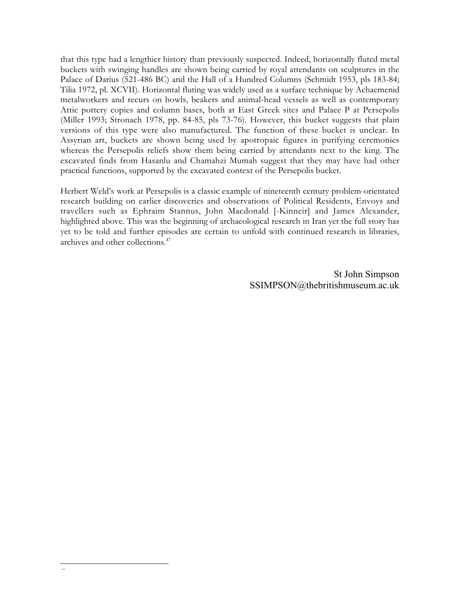that this type had a lengthier history than previously suspected. Indeed, horizontally fluted metal buckets with swinging handles are shown being carried by royal attendants on sculptures in the Palace of Darius (521-486 BC) and the Hall of a Hundred Columns (Schmidt 1953, pls 183-84; Tilia 1972, pl. XCVII). Horizontal fluting was widely used as a surface technique by Achaemenid metalworkers and recurs on bowls, beakers and animal-head vessels as well as contemporary Attic pottery copies and column bases, both at East Greek sites and Palace P at Persepolis (Miller 1993; Stronach 1978, pp. 84-85, pls 73-76). However, this bucket suggests that plain versions of this type were also manufactured. The function of these bucket is unclear. In Assyrian art, buckets are shown being used by apotropaic figures in purifying ceremonies whereas the Persepolis reliefs show them being carried by attendants next to the king. The excavated finds from Hasanlu and Chamahzi Mumah suggest that they may have had other practical functions, supported by the excavated context of the Persepolis bucket.

Herbert Weld's work at Persepolis is a classic example of nineteenth century problem-orientated research building on earlier discoveries and observations of Political Residents, Envoys and travellers such as Ephraim Stannus, John Macdonald [-Kinneir] and James Alexander, highlighted above. This was the beginning of archaeological research in Iran yet the full story has yet to be told and further episodes are certain to unfold with continued research in libraries, archives and other collections.<sup>47</sup>

> St John Simpson [SSIMPSON@thebritishmuseum.ac.uk](mailto:SSIMPSON@thebritishmuseum.ac.uk)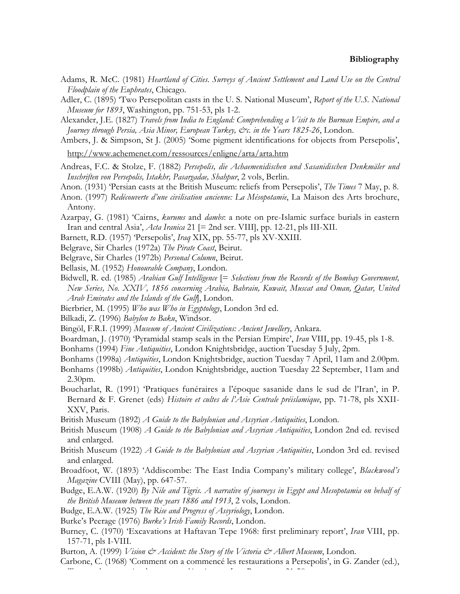- Adams, R. McC. (1981) *Heartland of Cities. Surveys of Ancient Settlement and Land Use on the Central Floodplain of the Euphrates*, Chicago.
- Adler, C. (1895) 'Two Persepolitan casts in the U. S. National Museum', *Report of the U.S. National Museum for 1893*, Washington, pp. 751-53, pls 1-2.
- Alexander, J.E. (1827) *Travels from India to England: Comprehending a Visit to the Burman Empire, and a Journey through Persia, Asia Minor, European Turkey, &c. in the Years 1825-26*, London.
- Ambers, J. & Simpson, St J. (2005) 'Some pigment identifications for objects from Persepolis',
- <http://www.achemenet.com/ressources/enligne/arta/arta.htm>
- Andreas, F.C. & Stolze, F. (1882) *Persepolis, die Achaemenidischen und Sasanidischen Denkmäler und Inschriften von Persepolis, Istakhr, Pasargadae, Shahpur*, 2 vols, Berlin.
- Anon. (1931) 'Persian casts at the British Museum: reliefs from Persepolis', *The Times* 7 May, p. 8.
- Anon. (1997) *Redécouverte d'une civilisation ancienne: La Mésopotamie*, La Maison des Arts brochure, Antony.
- Azarpay, G. (1981) 'Cairns, *kurums* and *dambs*: a note on pre-Islamic surface burials in eastern Iran and central Asia', *Acta Iranica* 21 [= 2nd ser. VIII], pp. 12-21, pls III-XII.
- Barnett, R.D. (1957) 'Persepolis', *Iraq* XIX, pp. 55-77, pls XV-XXIII.
- Belgrave, Sir Charles (1972a) *The Pirate Coast*, Beirut.
- Belgrave, Sir Charles (1972b) *Personal Column*, Beirut.
- Bellasis, M. (1952) *Honourable Company*, London.
- Bidwell, R. ed. (1985) *Arabian Gulf Intelligence* [= *Selections from the Records of the Bombay Government, New Series, No. XXIV, 1856 concerning Arabia, Bahrain, Kuwait, Muscat and Oman, Qatar, United Arab Emirates and the Islands of the Gulf*], London.
- Bierbrier, M. (1995) *Who was Who in Egyptology*, London 3rd ed.
- Bilkadi, Z. (1996) *Babylon to Baku*, Windsor.
- Bingöl, F.R.I. (1999) *Museum of Ancient Civilizations: Ancient Jewellery*, Ankara.
- Boardman, J. (1970) 'Pyramidal stamp seals in the Persian Empire', *Iran* VIII, pp. 19-45, pls 1-8.
- Bonhams (1994) *Fine Antiquities*, London Knightsbridge, auction Tuesday 5 July, 2pm.
- Bonhams (1998a) *Antiquities*, London Knightsbridge, auction Tuesday 7 April, 11am and 2.00pm.
- Bonhams (1998b) *Antiquities*, London Knightsbridge, auction Tuesday 22 September, 11am and 2.30pm.
- Boucharlat, R. (1991) 'Pratiques funéraires a l'époque sasanide dans le sud de l'Iran', in P. Bernard & F. Grenet (eds) *Histoire et cultes de l'Asie Centrale préislamique*, pp. 71-78, pls XXII-XXV, Paris.
- British Museum (1892) *A Guide to the Babylonian and Assyrian Antiquities*, London.
- British Museum (1908) *A Guide to the Babylonian and Assyrian Antiquities*, London 2nd ed. revised and enlarged.
- British Museum (1922) *A Guide to the Babylonian and Assyrian Antiquities*, London 3rd ed. revised and enlarged.
- Broadfoot, W. (1893) 'Addiscombe: The East India Company's military college', *Blackwood's Magazine* CVIII (May), pp. 647-57.
- Budge, E.A.W. (1920) *By Nile and Tigris. A narrative of journeys in Egypt and Mesopotamia on behalf of the British Museum between the years 1886 and 1913*, 2 vols, London.
- Budge, E.A.W. (1925) *The Rise and Progress of Assyriology*, London.

*T d i d hi i I* R 31 58

- Burke's Peerage (1976) *Burke's Irish Family Records*, London.
- Burney, C. (1970) 'Excavations at Haftavan Tepe 1968: first preliminary report', *Iran* VIII, pp. 157-71, pls I-VIII.
- Burton, A. (1999) *Vision & Accident: the Story of the Victoria & Albert Museum*, London.
- Carbone, C. (1968) 'Comment on a commencé les restaurations a Persepolis', in G. Zander (ed.),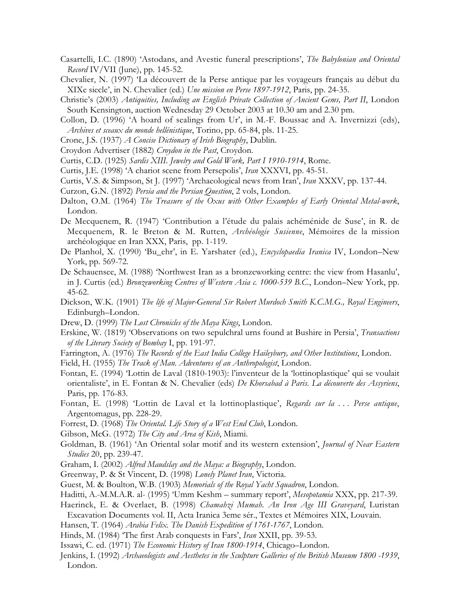- Casartelli, I.C. (1890) 'Astodans, and Avestic funeral prescriptions', *The Babylonian and Oriental Record* IV/VII (June), pp. 145-52.
- Chevalier, N. (1997) 'La découvert de la Perse antique par les voyageurs français au début du XIXe siecle', in N. Chevalier (ed.) *Une mission en Perse 1897-1912*, Paris, pp. 24-35.
- Christie's (2003) *Antiquities, Including an English Private Collection of Ancient Gems, Part II*, London South Kensington, auction Wednesday 29 October 2003 at 10.30 am and 2.30 pm.
- Collon, D. (1996) 'A hoard of sealings from Ur', in M.-F. Boussac and A. Invernizzi (eds), *Archives et sceaux du monde hellénistique*, Torino, pp. 65-84, pls. 11-25.
- Crone, J.S. (1937) *A Concise Dictionary of Irish Biography*, Dublin.
- Croydon Advertiser (1882) *Croydon in the Past*, Croydon.
- Curtis, C.D. (1925) *Sardis XIII. Jewelry and Gold Work, Part I 1910-1914*, Rome.
- Curtis, J.E. (1998) 'A chariot scene from Persepolis', *Iran* XXXVI, pp. 45-51.
- Curtis, V.S. & Simpson, St J. (1997) 'Archaeological news from Iran', *Iran* XXXV, pp. 137-44.
- Curzon, G.N. (1892) *Persia and the Persian Question*, 2 vols, London.
- Dalton, O.M. (1964) *The Treasure of the Oxus with Other Examples of Early Oriental Metal-work*, London.
- De Mecquenem, R. (1947) 'Contribution a l'étude du palais achéménide de Suse', in R. de Mecquenem, R. le Breton & M. Rutten, *Archéologie Susienne*, Mémoires de la mission archéologique en Iran XXX, Paris, pp. 1-119.
- De Planhol, X. (1990) 'Bu\_ehr', in E. Yarshater (ed.), *Encyclopaedia Iranica* IV, London–New York, pp. 569-72.
- De Schauensee, M. (1988) 'Northwest Iran as a bronzeworking centre: the view from Hasanlu', in J. Curtis (ed.) *Bronzeworking Centres of Western Asia c. 1000-539 B.C.*, London–New York, pp. 45-62.
- Dickson, W.K. (1901) *The life of Major-General Sir Robert Murdoch Smith K.C.M.G., Royal Engineers*, Edinburgh–London.
- Drew, D. (1999) *The Lost Chronicles of the Maya Kings*, London.
- Erskine, W. (1819) 'Observations on two sepulchral urns found at Bushire in Persia', *Transactions of the Literary Society of Bombay* I, pp. 191-97.
- Farrington, A. (1976) *The Records of the East India College Haileybury, and Other Institutions*, London.
- Field, H. (1955) *The Track of Man. Adventures of an Anthropologist*, London.
- Fontan, E. (1994) 'Lottin de Laval (1810-1903): l'inventeur de la 'lottinoplastique' qui se voulait orientaliste', in E. Fontan & N. Chevalier (eds) *De Khorsabad à Paris. La découverte des Assyriens*, Paris, pp. 176-83.
- Fontan, E. (1998) 'Lottin de Laval et la lottinoplastique', *Regards sur la . . . Perse antique*, Argentomagus, pp. 228-29.
- Forrest, D. (1968) *The Oriental. Life Story of a West End Club*, London.
- Gibson, McG. (1972) *The City and Area of Kish*, Miami.
- Goldman, B. (1961) 'An Oriental solar motif and its western extension', *Journal of Near Eastern Studies* 20, pp. 239-47.
- Graham, I. (2002) *Alfred Maudslay and the Maya: a Biography*, London.
- Greenway, P. & St Vincent, D. (1998) *Lonely Planet Iran*, Victoria.
- Guest, M. & Boulton, W.B. (1903) *Memorials of the Royal Yacht Squadron*, London.
- Haditti, A.-M.M.A.R. al- (1995) 'Umm Keshm summary report', *Mesopotamia* XXX, pp. 217-39.
- Haerinck, E. & Overlaet, B. (1998) *Chamahzi Mumah. An Iron Age III Graveyard*, Luristan Excavation Documents vol. II, Acta Iranica 3eme sér., Textes et Mémoires XIX, Louvain.
- Hansen, T. (1964) *Arabia Felix. The Danish Expedition of 1761-1767*, London.
- Hinds, M. (1984) 'The first Arab conquests in Fars', *Iran* XXII, pp. 39-53.
- Issawi, C. ed. (1971) *The Economic History of Iran 1800-1914*, Chicago–London.
- Jenkins, I. (1992) *Archaeologists and Aesthetes in the Sculpture Galleries of the British Museum 1800 -1939*, London.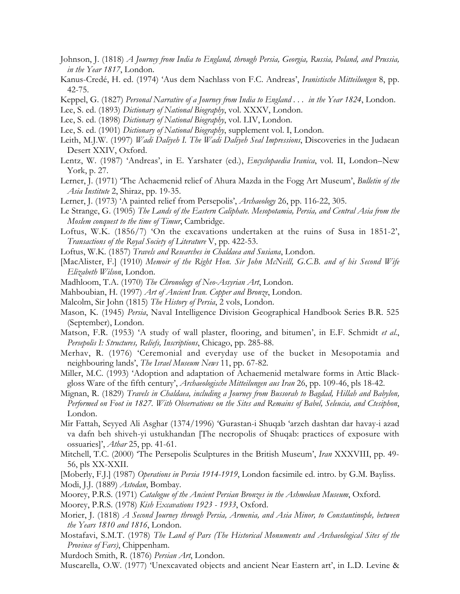- Johnson, J. (1818) *A Journey from India to England, through Persia, Georgia, Russia, Poland, and Prussia, in the Year 1817*, London.
- Kanus-Credé, H. ed. (1974) 'Aus dem Nachlass von F.C. Andreas', *Iranistische Mitteilungen* 8, pp. 42-75.
- Keppel, G. (1827) *Personal Narrative of a Journey from India to England . . . in the Year 1824*, London.
- Lee, S. ed. (1893) *Dictionary of National Biography*, vol. XXXV, London.
- Lee, S. ed. (1898) *Dictionary of National Biography*, vol. LIV, London.
- Lee, S. ed. (1901) *Dictionary of National Biography*, supplement vol. I, London.
- Leith, M.J.W. (1997) *Wadi Daliyeh I. The Wadi Daliyeh Seal Impressions*, Discoveries in the Judaean Desert XXIV, Oxford.
- Lentz, W. (1987) 'Andreas', in E. Yarshater (ed.), *Encyclopaedia Iranica*, vol. II, London–New York, p. 27.
- Lerner, J. (1971) 'The Achaemenid relief of Ahura Mazda in the Fogg Art Museum', *Bulletin of the Asia Institute* 2, Shiraz, pp. 19-35.
- Lerner, J. (1973) 'A painted relief from Persepolis', *Archaeology* 26, pp. 116-22, 305.
- Le Strange, G. (1905) *The Lands of the Eastern Caliphate. Mesopotamia, Persia, and Central Asia from the Moslem conquest to the time of Timur*, Cambridge.
- Loftus, W.K. (1856/7) 'On the excavations undertaken at the ruins of Susa in 1851-2', *Transactions of the Royal Society of Literature* V, pp. 422-53.
- Loftus, W.K. (1857) *Travels and Researches in Chaldaea and Susiana*, London.
- [MacAlister, F.] (1910) *Memoir of the Right Hon. Sir John McNeill, G.C.B. and of his Second Wife Elizabeth Wilson*, London.
- Madhloom, T.A. (1970) *The Chronology of Neo-Assyrian Art*, London.
- Mahboubian, H. (1997) *Art of Ancient Iran. Copper and Bronze*, London.
- Malcolm, Sir John (1815) *The History of Persia*, 2 vols, London.
- Mason, K. (1945) *Persia*, Naval Intelligence Division Geographical Handbook Series B.R. 525 (September), London.
- Matson, F.R. (1953) 'A study of wall plaster, flooring, and bitumen', in E.F. Schmidt *et al*., *Persepolis I: Structures, Reliefs, Inscriptions*, Chicago, pp. 285-88.
- Merhav, R. (1976) 'Ceremonial and everyday use of the bucket in Mesopotamia and neighbouring lands', *The Israel Museum News* 11, pp. 67-82.
- Miller, M.C. (1993) 'Adoption and adaptation of Achaemenid metalware forms in Attic Blackgloss Ware of the fifth century', *Archaeologische Mitteilungen aus Iran* 26, pp. 109-46, pls 18-42.
- Mignan, R. (1829) *Travels in Chaldaea, including a Journey from Bussorah to Bagdad, Hillah and Babylon, Performed on Foot in 1827. With Observations on the Sites and Remains of Babel, Seleucia, and Ctesiphon*, London.
- Mir Fattah, Seyyed Ali Asghar (1374/1996) 'Gurastan-i Shuqab 'arzeh dashtan dar havay-i azad va dafn beh shiveh-yi ustukhandan [The necropolis of Shuqab: practices of exposure with ossuaries]', *Athar* 25, pp. 41-61.
- Mitchell, T.C. (2000) 'The Persepolis Sculptures in the British Museum', *Iran* XXXVIII, pp. 49- 56, pls XX-XXII.
- [Moberly, F.J.] (1987) *Operations in Persia 1914-1919*, London facsimile ed. intro. by G.M. Bayliss. Modi, J.J. (1889) *Astodan*, Bombay.
- Moorey, P.R.S. (1971) *Catalogue of the Ancient Persian Bronzes in the Ashmolean Museum*, Oxford.
- Moorey, P.R.S. (1978) *Kish Excavations 1923 1933*, Oxford.
- Morier, J. (1818) *A Second Journey through Persia, Armenia, and Asia Minor, to Constantinople, between the Years 1810 and 1816*, London.
- Mostafavi, S.M.T. (1978) *The Land of Pars (The Historical Monuments and Archaeological Sites of the Province of Fars)*, Chippenham.

Murdoch Smith, R. (1876) *Persian Art*, London.

Muscarella, O.W. (1977) 'Unexcavated objects and ancient Near Eastern art', in L.D. Levine &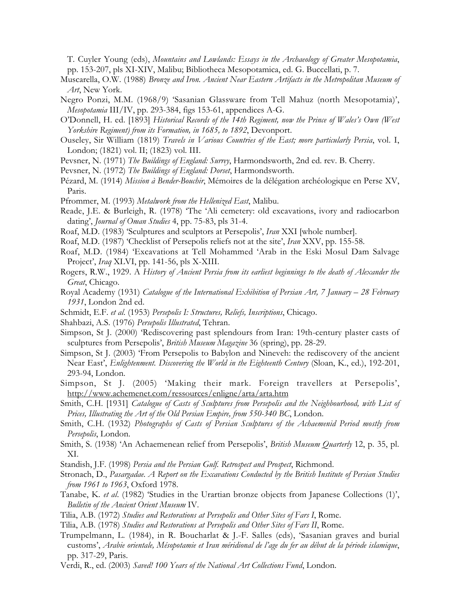T. Cuyler Young (eds), *Mountains and Lowlands: Essays in the Archaeology of Greater Mesopotamia*, pp. 153-207, pls XI-XIV, Malibu; Bibliotheca Mesopotamica, ed. G. Buccellati, p. 7.

- Muscarella, O.W. (1988) *Bronze and Iron. Ancient Near Eastern Artifacts in the Metropolitan Museum of Art*, New York.
- Negro Ponzi, M.M. (1968/9) 'Sasanian Glassware from Tell Mahuz (north Mesopotamia)', *Mesopotamia* III/IV, pp. 293-384, figs 153-61, appendices A-G.
- O'Donnell, H. ed. [1893] *Historical Records of the 14th Regiment, now the Prince of Wales's Own (West Yorkshire Regiment) from its Formation, in 1685, to 1892*, Devonport.
- Ouseley, Sir William (1819) *Travels in Various Countries of the East; more particularly Persia*, vol. I, London; (1821) vol. II; (1823) vol. III.
- Pevsner, N. (1971) *The Buildings of England: Surrey*, Harmondsworth, 2nd ed. rev. B. Cherry.
- Pevsner, N. (1972) *The Buildings of England: Dorset*, Harmondsworth.
- Pézard, M. (1914) *Mission à Bender-Bouchir*, Mémoires de la délégation archéologique en Perse XV, Paris.
- Pfrommer, M. (1993) *Metalwork from the Hellenized East*, Malibu.
- Reade, J.E. & Burleigh, R. (1978) 'The 'Ali cemetery: old excavations, ivory and radiocarbon dating', *Journal of Oman Studies* 4, pp. 75-83, pls 31-4.
- Roaf, M.D. (1983) 'Sculptures and sculptors at Persepolis', *Iran* XXI [whole number].
- Roaf, M.D. (1987) 'Checklist of Persepolis reliefs not at the site', *Iran* XXV, pp. 155-58.
- Roaf, M.D. (1984) 'Excavations at Tell Mohammed 'Arab in the Eski Mosul Dam Salvage Project', *Iraq* XLVI, pp. 141-56, pls X-XIII.
- Rogers, R.W., 1929. A *History of Ancient Persia from its earliest beginnings to the death of Alexander the Great*, Chicago.
- Royal Academy (1931) *Catalogue of the International Exhibition of Persian Art, 7 January 28 February 1931*, London 2nd ed.
- Schmidt, E.F. *et al*. (1953) *Persepolis I: Structures, Reliefs, Inscriptions*, Chicago.
- Shahbazi, A.S. (1976) *Persepolis Illustrated*, Tehran.
- Simpson, St J. (2000) 'Rediscovering past splendours from Iran: 19th-century plaster casts of sculptures from Persepolis', *British Museum Magazine* 36 (spring), pp. 28-29.
- Simpson, St J. (2003) 'From Persepolis to Babylon and Nineveh: the rediscovery of the ancient Near East', *Enlightenment. Discovering the World in the Eighteenth Century* (Sloan, K., ed.), 192-201, 293-94, London.
- Simpson, St J. (2005) 'Making their mark. Foreign travellers at Persepolis', <http://www.achemenet.com/ressources/enligne/arta/arta.htm>
- Smith, C.H. [1931] *Catalogue of Casts of Sculptures from Persepolis and the Neighbourhood, with List of Prices, Illustrating the Art of the Old Persian Empire, from 550-340 BC*, London.
- Smith, C.H. (1932) *Photographs of Casts of Persian Sculptures of the Achaemenid Period mostly from Persepolis*, London.
- Smith, S. (1938) 'An Achaemenean relief from Persepolis', *British Museum Quarterly* 12, p. 35, pl. XI.
- Standish, J.F. (1998) *Persia and the Persian Gulf. Retrospect and Prospect*, Richmond.
- Stronach, D., *Pasargadae. A Report on the Excavations Conducted by the British Institute of Persian Studies from 1961 to 1963*, Oxford 1978.
- Tanabe, K. *et al*. (1982) 'Studies in the Urartian bronze objects from Japanese Collections (1)', *Bulletin of the Ancient Orient Museum* IV.
- Tilia, A.B. (1972) *Studies and Restorations at Persepolis and Other Sites of Fars I*, Rome.
- Tilia, A.B. (1978) *Studies and Restorations at Persepolis and Other Sites of Fars II*, Rome.
- Trumpelmann, L. (1984), in R. Boucharlat & J.-F. Salles (eds), 'Sasanian graves and burial customs', *Arabie orientale, Mésopotamie et Iran méridional de l'age du fer au début de la période islamique*, pp. 317-29, Paris.
- Verdi, R., ed. (2003) *Saved! 100 Years of the National Art Collections Fund*, London.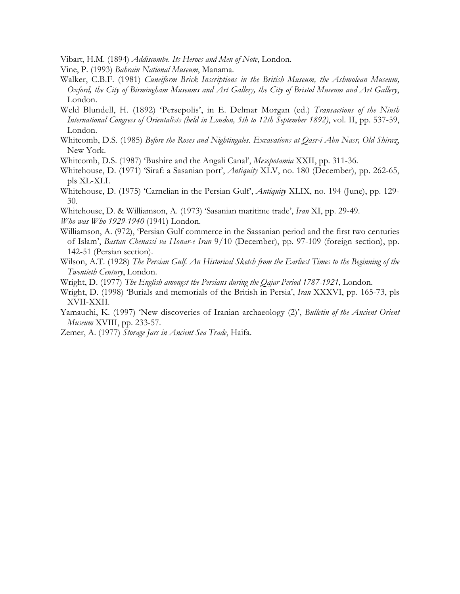Vibart, H.M. (1894) *Addiscombe. Its Heroes and Men of Note*, London.

Vine, P. (1993) *Bahrain National Museum*, Manama.

- Walker, C.B.F. (1981) *Cuneiform Brick Inscriptions in the British Museum, the Ashmolean Museum, Oxford, the City of Birmingham Museums and Art Gallery, the City of Bristol Museum and Art Gallery*, London.
- Weld Blundell, H. (1892) 'Persepolis', in E. Delmar Morgan (ed.) *Transactions of the Ninth International Congress of Orientalists (held in London, 5th to 12th September 1892)*, vol. II, pp. 537-59, London.
- Whitcomb, D.S. (1985) *Before the Roses and Nightingales. Excavations at Qasr-i Abu Nasr, Old Shiraz*, New York.
- Whitcomb, D.S. (1987) 'Bushire and the Angali Canal', *Mesopotamia* XXII, pp. 311-36.
- Whitehouse, D. (1971) 'Siraf: a Sasanian port', *Antiquity* XLV, no. 180 (December), pp. 262-65, pls XL-XLI.
- Whitehouse, D. (1975) 'Carnelian in the Persian Gulf', *Antiquity* XLIX, no. 194 (June), pp. 129- 30.
- Whitehouse, D. & Williamson, A. (1973) 'Sasanian maritime trade', *Iran* XI, pp. 29-49.
- *Who was Who 1929-1940* (1941) London.
- Williamson, A. (972), 'Persian Gulf commerce in the Sassanian period and the first two centuries of Islam', *Bastan Chenassi va Honar-e Iran* 9/10 (December), pp. 97-109 (foreign section), pp. 142-51 (Persian section).
- Wilson, A.T. (1928) *The Persian Gulf. An Historical Sketch from the Earliest Times to the Beginning of the Twentieth Century*, London.
- Wright, D. (1977) *The English amongst the Persians during the Qajar Period 1787-1921*, London.
- Wright, D. (1998) 'Burials and memorials of the British in Persia', *Iran* XXXVI, pp. 165-73, pls XVII-XXII.
- Yamauchi, K. (1997) 'New discoveries of Iranian archaeology (2)', *Bulletin of the Ancient Orient Museum* XVIII, pp. 233-57.

Zemer, A. (1977) *Storage Jars in Ancient Sea Trade*, Haifa.